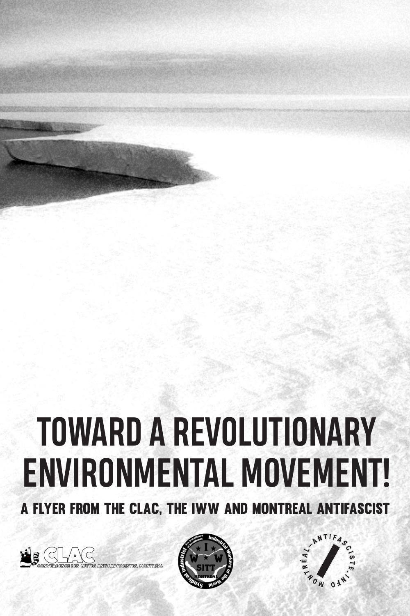# **TOWARD A REVOLUTIONARY ENVIRONMENTAL MOVEMENT!**

A FLYER FROM THE CLAC, THE IWW AND MONTREAL ANTIFASCIST





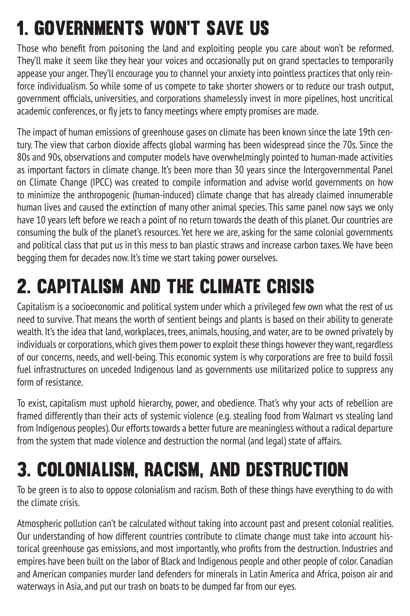#### 1. GOVERNMENTS WON'T SAVE US

Those who benefit from poisoning the land and exploiting people you care about won't be reformed. They'll make it seem like they hear your voices and occasionally put on grand spectacles to temporarily appease your anger. They'll encourage you to channel your anxiety into pointless practices that only reinforce individualism. So while some of us compete to take shorter showers or to reduce our trash output, government officials, universities, and corporations shamelessly invest in more pipelines, host uncritical academic conferences, or fly jets to fancy meetings where empty promises are made.

The impact of human emissions of greenhouse gases on climate has been known since the late 19th century. The view that carbon dioxide affects global warming has been widespread since the 70s. Since the 80s and 90s, observations and computer models have overwhelmingly pointed to human-made activities as important factors in climate change. It's been more than 30 years since the Intergovernmental Panel on Climate Change (IPCC) was created to compile information and advise world governments on how to minimize the anthropogenic (human-induced) climate change that has already claimed innumerable human lives and caused the extinction of many other animal species. This same panel now says we only have 10 years left before we reach a point of no return towards the death of this planet. Our countries are consuming the bulk of the planet's resources. Yet here we are, asking for the same colonial governments and political class that put us in this mess to ban plastic straws and increase carbon taxes. We have been begging them for decades now. It's time we start taking power ourselves.

#### 2. CAPITALISM AND THE CLIMATE CRISIS

Capitalism is a socioeconomic and political system under which a privileged few own what the rest of us need to survive. That means the worth of sentient beings and plants is based on their ability to generate wealth. It's the idea that land, workplaces, trees, animals, housing, and water, are to be owned privately by individuals or corporations, which gives them power to exploit these things however they want, regardless of our concerns, needs, and well-being. This economic system is why corporations are free to build fossil fuel infrastructures on unceded Indigenous land as governments use militarized police to suppress any form of resistance.

To exist, capitalism must uphold hierarchy, power, and obedience. That's why your acts of rebellion are framed differently than their acts of systemic violence (e.g. stealing food from Walmart vs stealing land from Indigenous peoples). Our efforts towards a better future are meaningless without a radical departure from the system that made violence and destruction the normal (and legal) state of affairs.

#### 3. COLONIALISM, RACISM, AND DESTRUCTION

To be green is to also to oppose colonialism and racism. Both of these things have everything to do with the climate crisis.

Atmospheric pollution can't be calculated without taking into account past and present colonial realities. Our understanding of how different countries contribute to climate change must take into account historical greenhouse gas emissions, and most importantly, who profits from the destruction. Industries and empires have been built on the labor of Black and Indigenous people and other people of color. Canadian and American companies murder land defenders for minerals in Latin America and Africa, poison air and waterways in Asia, and put our trash on boats to be dumped far from our eyes.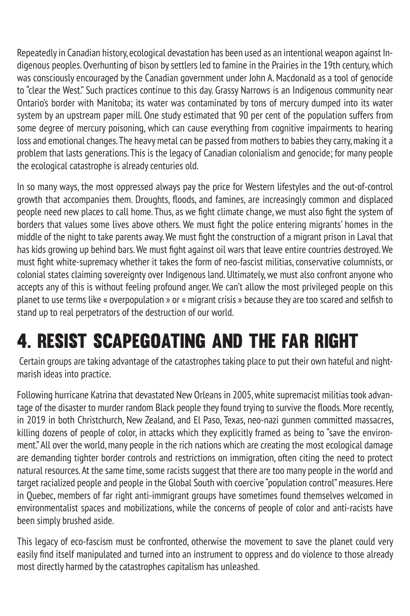Repeatedly in Canadian history, ecological devastation has been used as an intentional weapon against Indigenous peoples. Overhunting of bison by settlers led to famine in the Prairies in the 19th century, which was consciously encouraged by the Canadian government under John A. Macdonald as a tool of genocide to "clear the West." Such practices continue to this day. Grassy Narrows is an Indigenous community near Ontario's border with Manitoba; its water was contaminated by tons of mercury dumped into its water system by an upstream paper mill. One study estimated that 90 per cent of the population suffers from some degree of mercury poisoning, which can cause everything from cognitive impairments to hearing loss and emotional changes. The heavy metal can be passed from mothers to babies they carry, making it a problem that lasts generations. This is the legacy of Canadian colonialism and genocide; for many people the ecological catastrophe is already centuries old.

In so many ways, the most oppressed always pay the price for Western lifestyles and the out-of-control growth that accompanies them. Droughts, floods, and famines, are increasingly common and displaced people need new places to call home. Thus, as we fight climate change, we must also fight the system of borders that values some lives above others. We must fight the police entering migrants' homes in the middle of the night to take parents away. We must fight the construction of a migrant prison in Laval that has kids growing up behind bars. We must fight against oil wars that leave entire countries destroyed. We must fight white-supremacy whether it takes the form of neo-fascist militias, conservative columnists, or colonial states claiming sovereignty over Indigenous land. Ultimately, we must also confront anyone who accepts any of this is without feeling profound anger. We can't allow the most privileged people on this planet to use terms like « overpopulation » or « migrant crisis » because they are too scared and selfish to stand up to real perpetrators of the destruction of our world.

#### 4. RESIST SCAPEGOATING AND THE FAR RIGHT

 Certain groups are taking advantage of the catastrophes taking place to put their own hateful and nightmarish ideas into practice.

Following hurricane Katrina that devastated New Orleans in 2005, white supremacist militias took advantage of the disaster to murder random Black people they found trying to survive the floods. More recently, in 2019 in both Christchurch, New Zealand, and El Paso, Texas, neo-nazi gunmen committed massacres, killing dozens of people of color, in attacks which they explicitly framed as being to "save the environment." All over the world, many people in the rich nations which are creating the most ecological damage are demanding tighter border controls and restrictions on immigration, often citing the need to protect natural resources. At the same time, some racists suggest that there are too many people in the world and target racialized people and people in the Global South with coercive "population control" measures. Here in Quebec, members of far right anti-immigrant groups have sometimes found themselves welcomed in environmentalist spaces and mobilizations, while the concerns of people of color and anti-racists have been simply brushed aside.

This legacy of eco-fascism must be confronted, otherwise the movement to save the planet could very easily find itself manipulated and turned into an instrument to oppress and do violence to those already most directly harmed by the catastrophes capitalism has unleashed.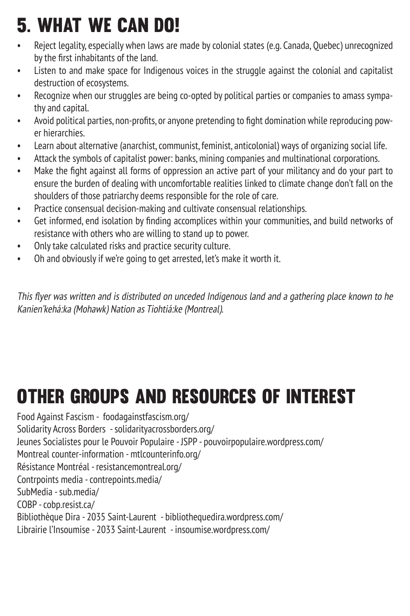#### 5. WHAT WE CAN DO!

- Reject legality, especially when laws are made by colonial states (e.g. Canada, Quebec) unrecognized by the first inhabitants of the land.
- Listen to and make space for Indigenous voices in the struggle against the colonial and capitalist destruction of ecosystems.
- Recognize when our struggles are being co-opted by political parties or companies to amass sympathy and capital.
- Avoid political parties, non-profits, or anyone pretending to fight domination while reproducing power hierarchies.
- Learn about alternative (anarchist, communist, feminist, anticolonial) ways of organizing social life.
- Attack the symbols of capitalist power: banks, mining companies and multinational corporations.
- Make the fight against all forms of oppression an active part of your militancy and do your part to ensure the burden of dealing with uncomfortable realities linked to climate change don't fall on the shoulders of those patriarchy deems responsible for the role of care.
- Practice consensual decision-making and cultivate consensual relationships.
- Get informed, end isolation by finding accomplices within your communities, and build networks of resistance with others who are willing to stand up to power.
- Only take calculated risks and practice security culture.
- Oh and obviously if we're going to get arrested, let's make it worth it.

This flyer was written and is distributed on unceded Indigenous land and a gathering place known to he Kanien'kehá:ka (Mohawk) Nation as Tiohtiá:ke (Montreal).

#### OTHER GROUPS AND RESOURCES OF INTEREST

Food Against Fascism - foodagainstfascism.org/ Solidarity Across Borders - solidarityacrossborders.org/ Jeunes Socialistes pour le Pouvoir Populaire - JSPP - pouvoirpopulaire.wordpress.com/ Montreal counter-information - mtlcounterinfo.org/ Résistance Montréal - resistancemontreal.org/ Contrpoints media - contrepoints.media/ SubMedia - sub.media/ COBP - cobp.resist.ca/ Bibliothèque Dira - 2035 Saint-Laurent - bibliothequedira.wordpress.com/ Librairie l'Insoumise - 2033 Saint-Laurent - insoumise.wordpress.com/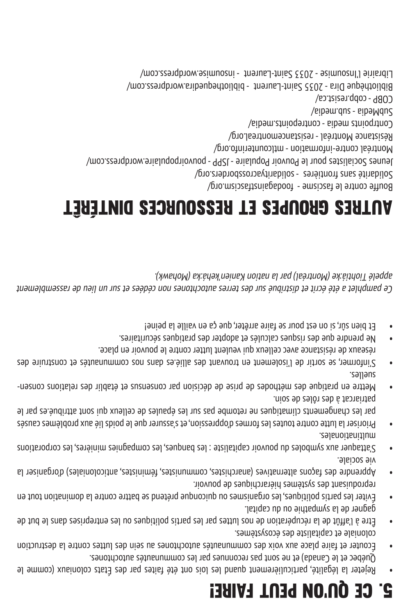### 5. CE QU'ON PEUT FAIRE!

gagner de la sympathie on du capital.

vie sociale.

suelles.

multinationales.

patriarcat à des rôles de soin.

reproduisant des systèmes hiérarchiques de pouvoir.

- Rejeter la légalité, particulièrement quand les lois ont été faites par des États coloniaux (comme le •
- Écouter et faire place aux voix des communautés autochtones au sein des luttes contre la destruction coloniale et capitaliste des écosystèmes.
- Québec et le Canada) et ne sont pas reconnues par les communautés autochtones.
- 
- 
- 
- 

Éviter les partis politiques, les organismes ou quiconque prétend se battre contre la domination tout en •

Apprendre des façons alternatives (anarchistes, communistes, féministes, anticoloniales) d'organiser la •

S'attaquer aux symboles du pouvoir capitaliste : les banques, les compagnies minières, les corporations •

Prioriser la lutte contre toutes les formes d'oppression, et s'assurer que le poids lié aux problèmes causés • par les changements climatiques ne retombe pas sur les épaules de celleux qui sont attribué.es par le

- Mettre en pratique des méthodes de prise de décision par consensus et établir des relations consen •

S'informer, se sortir de l'isolement en trouvant des allié.es dans nos communautés et construire des •

Ce pamphlet a été écrit et distribué sur des terres autochtones non cédées et sur un lieu de rassemblement

réseaux de résistance avec celleux qui veulent lutter contre le pouvoir en place. Ne prendre que des risques calculés et adopter des pratiques sécuritaires. • Et bien sûr, si on est pour se faire arrêter, que ça en vaille la peine! •

AUTRES GROUPES ET RESSOURCES DINTÉRÊT

Jeunes Socialistes pour le Pouvoir Populaire - JSPP - pouvoirpopulaire.wordpress.com/

Bibliothèque Dira - 2035 Saint-Laurent - bibliothequedira.wordpress.com/ Librairie l'Insoumise - 2033 Saint-Laurent - insoumise.wordpress.com/

appelé Tiohtiá:ke (Montréal) par la nation Kanien'kehá:ka (Mohawk).

Bouffe contre le fascisme - foodagainstfascism.org/ Solidarité sans frontières - solidarityacrossborders.org/

Montréal contre-information - mtlcounterinfo.org/ Résistance Montréal - resistancemontreal.org/ Contrpoints media - contrepoints.media/

SubMedia - sub.media/ COBP - cobp.resist.ca/

Être à l'affût de la récupération de nos luttes par les partis politiques ou les entreprises dans le but de •

- 
- 
- 
- 
-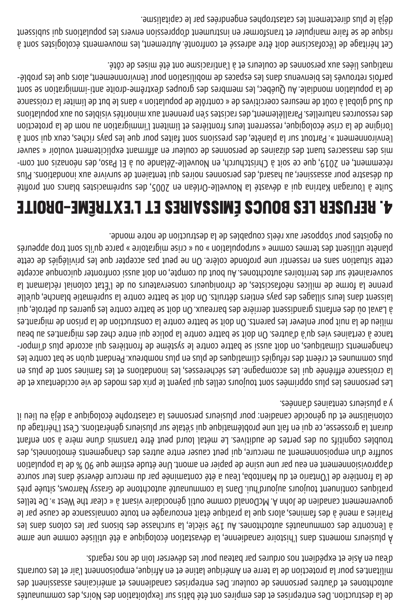de la destruction. Des entreprises et des empires ont été bâtis sur l'exploitation des Noirs, des communautés autochtones et d'autres personnes de couleur. Des entreprises canadiennes et américaines assassinent des militant.es pour la protection de la terre en Amérique latine et en Afrique, empoisonnent l'air et les courants d'eau en Asie et expédient nos ordures par bateau pour les déverser loin de nos regards.

À plusieurs moments dans l'histoire canadienne, la dévastation écologique a été utilisée comme une arme à l'encontre des communautés autochtones. Au 19e siècle, la surchasse des bisons par les colons dans les Prairies a mené à des famines, alors que la pratique était encouragée en toute connaissance de cause par le gouvernement canadien de John A. McDonald comme outil génocidaire visant à « clear the West ». De telles pratiques continuent toujours aujourd'hui. Dans la communauté autochtone de Grassy Narrows, située près de la frontière de l'Ontario et du Manitoba, l'eau a été contaminée par du mercure déversé dans leur source d'approvisionnement en eau par une usine de papier en amont. Une étude estime que 90 % de la population souffre d'un empoisonnement au mercure, qui peut causer entre autres des changements émotionnels, des troubles cognitifs ou des pertes de auditives. Le métal lourd peut être transmis d'une mère à son enfant durant la grossesse, ce qui en fait une problématique qui s'étale sur plusieurs générations. C'est l'héritage du colonialisme et du génocide canadien: pour plusieurs personnes la catastrophe écologique a déjà eu lieu il y a plusieurs centaines d'années.

Les personnes les plus opprimées sont toujours celles qui payent le prix des modes de vie occidentaux et de la croissance effrénée qui les accompagne. Les sécheresses, les inondations et les famines sont de plus en plus communes et créent des réfugiés climatiques de plus en plus nombreux. Pendant qu'on se bat contre les - changements climatiques, on doit aussi se battre contre le système de frontières qui accorde plus d'impor tance à certaines vies qu'à d'autres. On doit se battre contre la police qui entre chez des migrant.es au beau milieu de la nuit pour enlever les parents. On doit se battre contre la construction de la prison de migrant.es à Laval où des enfants grandissent derrière des barreaux. On doit se battre contre les guerres du pétrole, qui laissent dans leurs sillages des pays entiers détruits. On doit se battre contre la suprématie blanche, qu'elle prenne la forme de milices néofascistes, de chroniqueurs conservateurs ou de l'État colonial réclamant la souveraineté sur des territoires autochtones. Au bout du compte, on doit aussi confronter quiconque accepte cette situation sans en ressentir une profonde colère. On ne peut pas accepter que les privilégiés de cette planète utilisent des termes comme « surpopulation » ou « crise migratoire » parce qu'ils sont trop appeurés ou égoïstes pour s'opposer aux réels coupables de la destruction de notre monde.

#### 4. REFUSER LES BOUCS ÉMISSAIRES ET L'EXTRÊME-DROITE

Suite à l'ouragan Katrina qui a dévasté la Nouvelle-Orléan en 2005, des suprémacistes blancs ont profité du désastre pour assassiner, au hasard, des personnes noires qui tentaient de survivre aux inondations. Plus - récemment, en 2019, que ce soit à Christchurch, en Nouvelle-Zélande ou à El Paso, des néonazis ont com mis des massacres tuant des dizaines de personnes de couleur en affirmant explicitement vouloir « sauver l'environnement ». Partout sur la planète, des pressions sont faites pour que les pays riches, ceux qui sont à l'origine de la crise écologique, resserrent leurs frontières et limitent l'immigration au nom de la protection des ressources naturelles. Parallèlement, des racistes s'en prennent aux minorités visibles ou aux populations du Sud global à coût de mesures coercitives de « contrôle de population » dans le but de limiter la croissance de la population mondiale. Au Québec, les membres des groupes d'extrême-droite anti-immigration se sont - parfois retrouvés les bienvenus dans les espaces de mobilisation pour l'environnement, alors que les problé matiques liées aux personnes de couleurs et à l'antiracisme ont été mises de côté.

Cet héritage de l'écofascisme doit être adressé et confronté. Autrement, les mouvements écologistes sont à risque de se faire manipuler et transformer en instrument d'oppression envers les populations qui subissent déjà le plus directement les catastrophes engendrées par le capitalisme.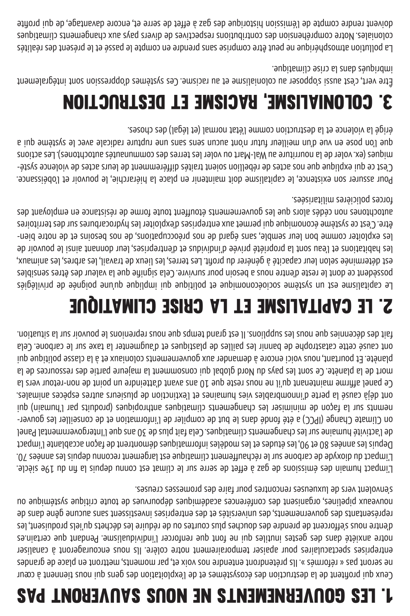## 1. LES GOUVERNEMENTS NE NOUS SAUVERONT PAS

Ceux qui profitent de la destruction des écosystèmes et de l'exploitation des gens qui nous tiennent à cœur ne seront pas « réformés ». Ils prétendront entendre nos voix et, par moments, mettront en place de grandes entreprises spectaculaires pour apaiser temporairement notre colère. Ils nous encourageront à canaliser notre anxiété dans des gestes inutiles qui ne font que renforcer l'individualisme. Pendant que certain.es d'entre nous s'efforcent de prendre des douches plus courtes ou de réduire les déchets qu'iels produisent, les représentants des gouvernements, des universités et des entreprises investissent sans aucune gêne dans de no anbiméstes organisent des conférences académiques dépouvues de toute critique systémique ou s'envolent vers de luxueuses rencontres pour faire des promesses creuses.

L'impact humain des émissions de gaz à effet de serre sur le climat est connu depuis la fin du 19e siècle. L'impact du dioxyde de carbone sur le réchauffement climatique est largement reconnu depuis les années 70. Depuis les années 80 et 90, les études et les modèles informatiques démontrent de façon accablante l'impact de l'activité humaine sur les changements climatiques. Cela fait plus de 30 ans que l'Intergovernmental Panel - on Climate Change (IPCC) a été fondé dans le but de compiler de l'information et de conseiller les gouver nemnts sur la façon de minimiser les changements climatiques anthropiques (produits par l'humain) qui ont déjà causé la perte d'innombrables vies humaines et l'extinction de plusieurs autres espèces animales. Ce panel affirme maintenant qu'il ne nous reste que 10 ans avant d'atteindre un point de non-retour vers la mort de la planète. Ce sont les pays du Nord global qui consomment la majeure partie des ressources de la planète. Et pourtant, nous voici encore à demander aux gouvernements coloniaux et à la classe politique qui ont causé cette catastrophe de bannir les pailles de plastiques et d'augmenter la taxe sur le carbone. Cela fait des décennies que nous les supplions. Il est grand temps que nous reprenions le pouvoir sur la situation.

#### 2. LE CAPITALISME ET LA CRISE CLIMATIQUE

Le capitalisme est un système socioéconomique et politique qui implique qu'une poignée de privilégiés possèdent ce dont le reste d'entre nous a besoin pour survivre. Cela signifie que la valeur des êtres sensibles est déterminée selon leur capacité à générer du profit. Les terres, les lieux de travail, les arbres, les animaux, les habitations et l'eau sont la propriété privée d'individus et d'entreprises, leur donnant ainsi le pouvoir de les exploiter comme bon leur semble, sans égard de nos préoccupations, de nos besoins et de notre bienêtre. C'est ce système économique qui permet aux entreprises d'exploiter les hydrocarbures sur des territoires autochtomes non cédés alors que les gouvernants étandant toute de résistance en employant des forces policières militarisées.

Pour assurer son existence, le capitalisme doit maintenir en place la hiérarchie, le pouvoir et l'obéissance. - C'est ce qui explique que nos actes de rébellion soient traités différemment de leurs actes de violence systé miques (ex. voler de la nourriture au Wal-Mart ou voler les terres des communautés autochtones). Les actions que l'on pose en vue d'un meilleur futur n'ont aucun sens sans une rupture radicale avec le système qui a érigé la violence et la destruction comme l'état normal (et légal) des choses.

#### 3. COLONIALISME, RACISME ET DESTRUCTION

Être vert, c'est aussi s'opposer au colonialisme et au racisme. Ces systèmes d'oppression sont intégralement imbriqués dans la crise climatique.

La pollution atmosphérique ne peut être comprise sans prendre en compte le passé et le présent des réalités coloniales. Notre compréhension des contributions respectives de divers pays aux changements climatiques doivent rendre compte de l'émission historique des gaz à effet de serre et, encore davantage, de qui profite